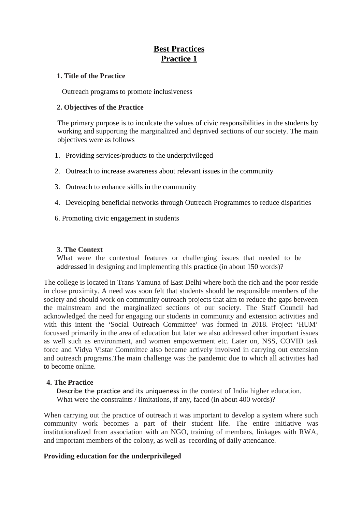# **Best Practices Practice 1**

### **1. Title of the Practice**

Outreach programs to promote inclusiveness

### **2. Objectives of the Practice**

The primary purpose is to inculcate the values of civic responsibilities in the students by working and supporting the marginalized and deprived sections of our society. The main objectives were as follows

- 1. Providing services/products to the underprivileged
- 2. Outreach to increase awareness about relevant issues in the community
- 3. Outreach to enhance skills in the community
- 4. Developing beneficial networks through Outreach Programmes to reduce disparities
- 6. Promoting civic engagement in students

### **3. The Context**

What were the contextual features or challenging issues that needed to be addressed in designing and implementing this practice (in about 150 words)?

The college is located in Trans Yamuna of East Delhi where both the rich and the poor reside in close proximity. A need was soon felt that students should be responsible members of the society and should work on community outreach projects that aim to reduce the gaps between the mainstream and the marginalized sections of our society. The Staff Council had acknowledged the need for engaging our students in community and extension activities and with this intent the 'Social Outreach Committee' was formed in 2018. Project 'HUM' focussed primarily in the area of education but later we also addressed other important issues as well such as environment, and women empowerment etc. Later on, NSS, COVID task force and Vidya Vistar Committee also became actively involved in carrying out extension and outreach programs.The main challenge was the pandemic due to which all activities had to become online.

### **4. The Practice**

Describe the practice and its uniqueness in the context of India higher education. What were the constraints / limitations, if any, faced (in about 400 words)?

When carrying out the practice of outreach it was important to develop a system where such community work becomes a part of their student life. The entire initiative was institutionalized from association with an NGO, training of members, linkages with RWA, and important members of the colony, as well as recording of daily attendance.

### **Providing education for the underprivileged**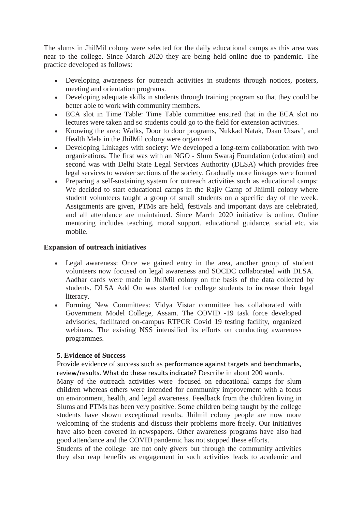The slums in JhilMil colony were selected for the daily educational camps as this area was near to the college. Since March 2020 they are being held online due to pandemic. The practice developed as follows:

- Developing awareness for outreach activities in students through notices, posters, meeting and orientation programs.
- Developing adequate skills in students through training program so that they could be better able to work with community members.
- ECA slot in Time Table: Time Table committee ensured that in the ECA slot no lectures were taken and so students could go to the field for extension activities.
- Knowing the area: Walks, Door to door programs, Nukkad Natak, Daan Utsav', and Health Mela in the JhilMil colony were organized
- Developing Linkages with society: We developed a long-term collaboration with two organizations. The first was with an NGO - Slum Swaraj Foundation (education) and second was with Delhi State Legal Services Authority (DLSA) which provides free legal services to weaker sections of the society. Gradually more linkages were formed
- Preparing a self-sustaining system for outreach activities such as educational camps: We decided to start educational camps in the Rajiv Camp of Jhilmil colony where student volunteers taught a group of small students on a specific day of the week. Assignments are given, PTMs are held, festivals and important days are celebrated, and all attendance are maintained. Since March 2020 initiative is online. Online mentoring includes teaching, moral support, educational guidance, social etc. via mobile.

### **Expansion of outreach initiatives**

- Legal awareness: Once we gained entry in the area, another group of student volunteers now focused on legal awareness and SOCDC collaborated with DLSA. Aadhar cards were made in JhilMil colony on the basis of the data collected by students. DLSA Add On was started for college students to increase their legal literacy.
- Forming New Committees: Vidya Vistar committee has collaborated with Government Model College, Assam. The COVID -19 task force developed advisories, facilitated on-campus RTPCR Covid 19 testing facility, organized webinars. The existing NSS intensified its efforts on conducting awareness programmes.

### **5. Evidence of Success**

Provide evidence of success such as performance against targets and benchmarks, review/results. What do these results indicate? Describe in about 200 words.

Many of the outreach activities were focused on educational camps for slum children whereas others were intended for community improvement with a focus on environment, health, and legal awareness. Feedback from the children living in Slums and PTMs has been very positive. Some children being taught by the college students have shown exceptional results. Jhilmil colony people are now more welcoming of the students and discuss their problems more freely. Our initiatives have also been covered in newspapers. Other awareness programs have also had good attendance and the COVID pandemic has not stopped these efforts.

Students of the college are not only givers but through the community activities they also reap benefits as engagement in such activities leads to academic and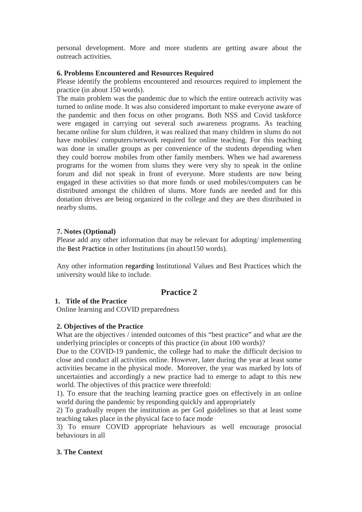personal development. More and more students are getting aware about the outreach activities.

### **6. Problems Encountered and Resources Required**

Please identify the problems encountered and resources required to implement the practice (in about 150 words).

The main problem was the pandemic due to which the entire outreach activity was turned to online mode. It was also considered important to make everyone aware of the pandemic and then focus on other programs. Both NSS and Covid taskforce were engaged in carrying out several such awareness programs. As teaching became online for slum children, it was realized that many children in slums do not have mobiles/ computers/network required for online teaching. For this teaching was done in smaller groups as per convenience of the students depending when they could borrow mobiles from other family members. When we had awareness programs for the women from slums they were very shy to speak in the online forum and did not speak in front of everyone. More students are now being engaged in these activities so that more funds or used mobiles/computers can be distributed amongst the children of slums. More funds are needed and for this donation drives are being organized in the college and they are then distributed in nearby slums.

### **7. Notes (Optional)**

Please add any other information that may be relevant for adopting/ implementing the Best Practice in other Institutions (in about150 words).

Any other information regarding Institutional Values and Best Practices which the university would like to include.

# **Practice 2**

### **1. Title of the Practice**

Online learning and COVID preparedness

### **2. Objectives of the Practice**

What are the objectives / intended outcomes of this "best practice" and what are the underlying principles or concepts of this practice (in about 100 words)?

Due to the COVID-19 pandemic, the college had to make the difficult decision to close and conduct all activities online. However, later during the year at least some activities became in the physical mode. Moreover, the year was marked by lots of uncertainties and accordingly a new practice had to emerge to adapt to this new world. The objectives of this practice were threefold:

1). To ensure that the teaching learning practice goes on effectively in an online world during the pandemic by responding quickly and appropriately

2) To gradually reopen the institution as per GoI guidelines so that at least some teaching takes place in the physical face to face mode

3) To ensure COVID appropriate behaviours as well encourage prosocial behaviours in all

### **3. The Context**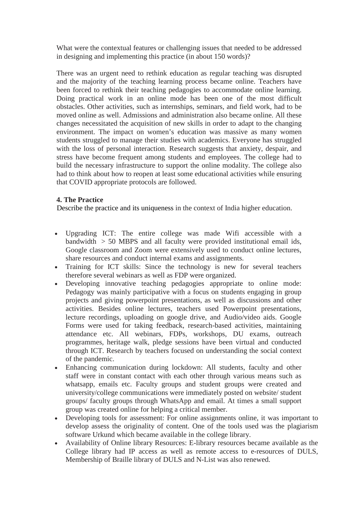What were the contextual features or challenging issues that needed to be addressed in designing and implementing this practice (in about 150 words)?

There was an urgent need to rethink education as regular teaching was disrupted and the majority of the teaching learning process became online. Teachers have been forced to rethink their teaching pedagogies to accommodate online learning. Doing practical work in an online mode has been one of the most difficult obstacles. Other activities, such as internships, seminars, and field work, had to be moved online as well. Admissions and administration also became online. All these changes necessitated the acquisition of new skills in order to adapt to the changing environment. The impact on women's education was massive as many women students struggled to manage their studies with academics. Everyone has struggled with the loss of personal interaction. Research suggests that anxiety, despair, and stress have become frequent among students and employees. The college had to build the necessary infrastructure to support the online modality. The college also had to think about how to reopen at least some educational activities while ensuring that COVID appropriate protocols are followed.

## **4. The Practice**

Describe the practice and its uniqueness in the context of India higher education.

- Upgrading ICT: The entire college was made Wifi accessible with a bandwidth  $> 50$  MBPS and all faculty were provided institutional email ids, Google classroom and Zoom were extensively used to conduct online lectures, share resources and conduct internal exams and assignments.
- Training for ICT skills: Since the technology is new for several teachers therefore several webinars as well as FDP were organized.
- Developing innovative teaching pedagogies appropriate to online mode: Pedagogy was mainly participative with a focus on students engaging in group projects and giving powerpoint presentations, as well as discussions and other activities. Besides online lectures, teachers used Powerpoint presentations, lecture recordings, uploading on google drive, and Audio/video aids. Google Forms were used for taking feedback, research-based activities, maintaining attendance etc. All webinars, FDPs, workshops, DU exams, outreach programmes, heritage walk, pledge sessions have been virtual and conducted through ICT. Research by teachers focused on understanding the social context of the pandemic.
- Enhancing communication during lockdown: All students, faculty and other staff were in constant contact with each other through various means such as whatsapp, emails etc. Faculty groups and student groups were created and university/college communications were immediately posted on website/ student groups/ faculty groups through WhatsApp and email. At times a small support group was created online for helping a critical member.
- Developing tools for assessment: For online assignments online, it was important to develop assess the originality of content. One of the tools used was the plagiarism software Urkund which became available in the college library.
- Availability of Online library Resources: E-library resources became available as the College library had IP access as well as remote access to e-resources of DULS, Membership of Braille library of DULS and N-List was also renewed.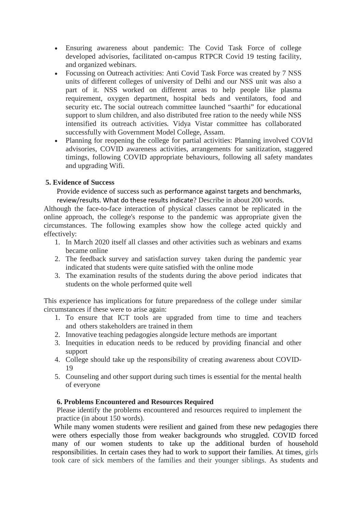- Ensuring awareness about pandemic: The Covid Task Force of college developed advisories, facilitated on-campus RTPCR Covid 19 testing facility, and organized webinars.
- Focussing on Outreach activities: Anti Covid Task Force was created by 7 NSS units of different colleges of university of Delhi and our NSS unit was also a part of it. NSS worked on different areas to help people like plasma requirement, oxygen department, hospital beds and ventilators, food and security etc. The social outreach committee launched "saarthi" for educational support to slum children, and also distributed free ration to the needy while NSS intensified its outreach activities*.* Vidya Vistar committee has collaborated successfully with Government Model College, Assam.
- Planning for reopening the college for partial activities: Planning involved COVId advisories, COVID awareness activities, arrangements for sanitization, staggered timings, following COVID appropriate behaviours, following all safety mandates and upgrading Wifi.

### **5. Evidence of Success**

Provide evidence of success such as performance against targets and benchmarks, review/results. What do these results indicate? Describe in about 200 words.

Although the face-to-face interaction of physical classes cannot be replicated in the online approach, the college's response to the pandemic was appropriate given the circumstances. The following examples show how the college acted quickly and effectively:

- 1. In March 2020 itself all classes and other activities such as webinars and exams became online
- 2. The feedback survey and satisfaction survey taken during the pandemic year indicated that students were quite satisfied with the online mode
- 3. The examination results of the students during the above period indicates that students on the whole performed quite well

This experience has implications for future preparedness of the college under similar circumstances if these were to arise again:

- 1. To ensure that ICT tools are upgraded from time to time and teachers and others stakeholders are trained in them
- 2. Innovative teaching pedagogies alongside lecture methods are important
- 3. Inequities in education needs to be reduced by providing financial and other support
- 4. College should take up the responsibility of creating awareness about COVID-19
- 5. Counseling and other support during such times is essential for the mental health of everyone

### **6. Problems Encountered and Resources Required**

Please identify the problems encountered and resources required to implement the practice (in about 150 words).

While many women students were resilient and gained from these new pedagogies there were others especially those from weaker backgrounds who struggled. COVID forced many of our women students to take up the additional burden of household responsibilities. In certain cases they had to work to support their families. At times, girls took care of sick members of the families and their younger siblings. As students and